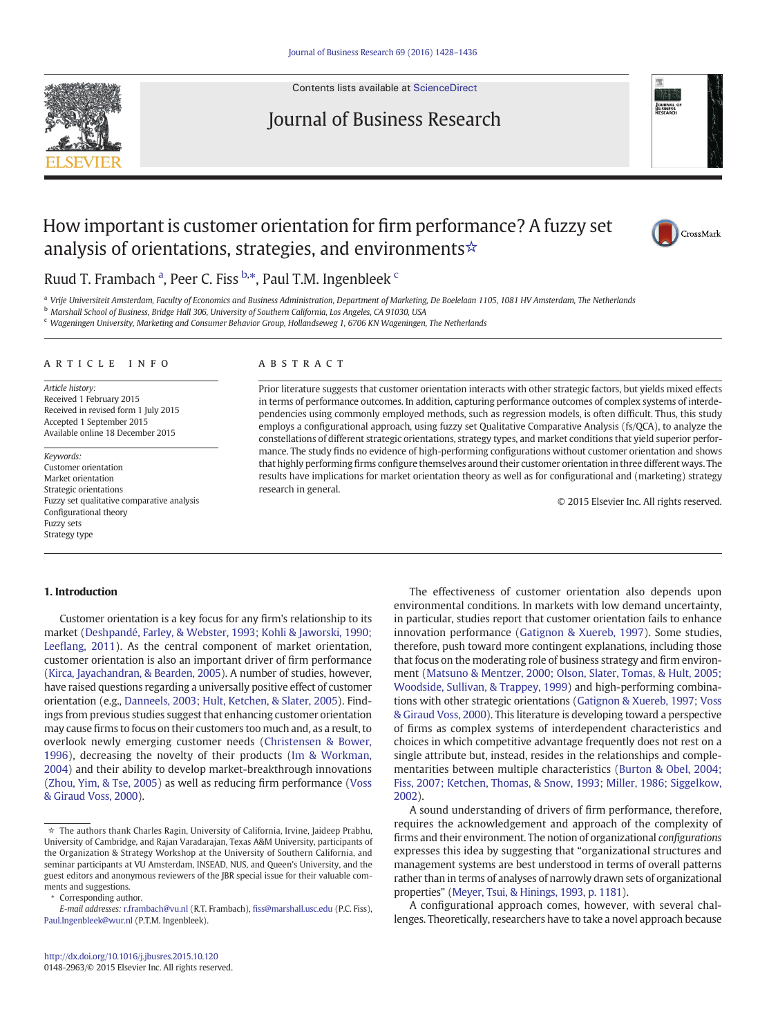

Contents lists available at [ScienceDirect](http://www.sciencedirect.com/science/journal/01482963)

# Journal of Business Research



# How important is customer orientation for firm performance? A fuzzy set analysis of orientations, strategies, and environments☆



## Ruud T. Frambach <sup>a</sup>, Peer C. Fiss <sup>b,\*</sup>, Paul T.M. Ingenbleek <sup>c</sup>

a Vrije Universiteit Amsterdam, Faculty of Economics and Business Administration, Department of Marketing, De Boelelaan 1105, 1081 HV Amsterdam, The Netherlands

<sup>b</sup> Marshall School of Business, Bridge Hall 306, University of Southern California, Los Angeles, CA 91030, USA

<sup>c</sup> Wageningen University, Marketing and Consumer Behavior Group, Hollandseweg 1, 6706 KN Wageningen, The Netherlands

#### article info abstract

Article history: Received 1 February 2015 Received in revised form 1 July 2015 Accepted 1 September 2015 Available online 18 December 2015

Keywords: Customer orientation Market orientation Strategic orientations Fuzzy set qualitative comparative analysis Configurational theory Fuzzy sets Strategy type

Prior literature suggests that customer orientation interacts with other strategic factors, but yields mixed effects in terms of performance outcomes. In addition, capturing performance outcomes of complex systems of interdependencies using commonly employed methods, such as regression models, is often difficult. Thus, this study employs a configurational approach, using fuzzy set Qualitative Comparative Analysis (fs/QCA), to analyze the constellations of different strategic orientations, strategy types, and market conditions that yield superior performance. The study finds no evidence of high-performing configurations without customer orientation and shows that highly performing firms configure themselves around their customer orientation in three different ways. The results have implications for market orientation theory as well as for configurational and (marketing) strategy research in general.

© 2015 Elsevier Inc. All rights reserved.

#### 1. Introduction

Customer orientation is a key focus for any firm's relationship to its market [\(Deshpandé, Farley, & Webster, 1993; Kohli & Jaworski, 1990;](#page-7-0) Leefl[ang, 2011](#page-7-0)). As the central component of market orientation, customer orientation is also an important driver of firm performance [\(Kirca, Jayachandran, & Bearden, 2005](#page-7-0)). A number of studies, however, have raised questions regarding a universally positive effect of customer orientation (e.g., [Danneels, 2003; Hult, Ketchen, & Slater, 2005](#page-7-0)). Findings from previous studies suggest that enhancing customer orientation may cause firms to focus on their customers too much and, as a result, to overlook newly emerging customer needs ([Christensen & Bower,](#page-7-0) [1996](#page-7-0)), decreasing the novelty of their products [\(Im & Workman,](#page-7-0) [2004](#page-7-0)) and their ability to develop market-breakthrough innovations [\(Zhou, Yim, & Tse, 2005\)](#page-8-0) as well as reducing firm performance [\(Voss](#page-8-0) [& Giraud Voss, 2000\)](#page-8-0).

Corresponding author.

The effectiveness of customer orientation also depends upon environmental conditions. In markets with low demand uncertainty, in particular, studies report that customer orientation fails to enhance innovation performance [\(Gatignon & Xuereb, 1997](#page-7-0)). Some studies, therefore, push toward more contingent explanations, including those that focus on the moderating role of business strategy and firm environment ([Matsuno & Mentzer, 2000; Olson, Slater, Tomas, & Hult, 2005;](#page-7-0) [Woodside, Sullivan, & Trappey, 1999](#page-7-0)) and high-performing combinations with other strategic orientations [\(Gatignon & Xuereb, 1997; Voss](#page-7-0) [& Giraud Voss, 2000](#page-7-0)). This literature is developing toward a perspective of firms as complex systems of interdependent characteristics and choices in which competitive advantage frequently does not rest on a single attribute but, instead, resides in the relationships and complementarities between multiple characteristics [\(Burton & Obel, 2004;](#page-7-0) [Fiss, 2007; Ketchen, Thomas, & Snow, 1993; Miller, 1986; Siggelkow,](#page-7-0) [2002\)](#page-7-0).

A sound understanding of drivers of firm performance, therefore, requires the acknowledgement and approach of the complexity of firms and their environment. The notion of organizational configurations expresses this idea by suggesting that "organizational structures and management systems are best understood in terms of overall patterns rather than in terms of analyses of narrowly drawn sets of organizational properties" [\(Meyer, Tsui, & Hinings, 1993, p. 1181](#page-7-0)).

A configurational approach comes, however, with several challenges. Theoretically, researchers have to take a novel approach because

<sup>☆</sup> The authors thank Charles Ragin, University of California, Irvine, Jaideep Prabhu, University of Cambridge, and Rajan Varadarajan, Texas A&M University, participants of the Organization & Strategy Workshop at the University of Southern California, and seminar participants at VU Amsterdam, INSEAD, NUS, and Queen's University, and the guest editors and anonymous reviewers of the JBR special issue for their valuable comments and suggestions.

E-mail addresses: r.frambach@vu.nl (R.T. Frambach), fiss@marshall.usc.edu (P.C. Fiss), [Paul.Ingenbleek@wur.nl](mailto:Paul.Ingenbleek@wur.nl) (P.T.M. Ingenbleek).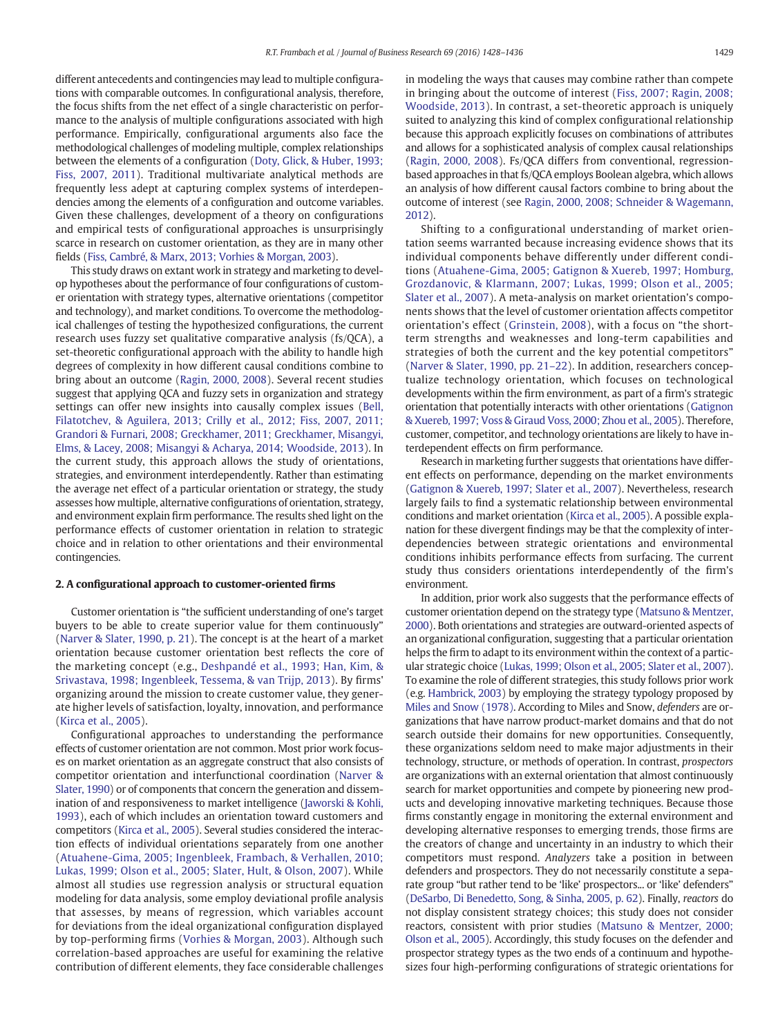different antecedents and contingencies may lead to multiple configurations with comparable outcomes. In configurational analysis, therefore, the focus shifts from the net effect of a single characteristic on performance to the analysis of multiple configurations associated with high performance. Empirically, configurational arguments also face the methodological challenges of modeling multiple, complex relationships between the elements of a configuration [\(Doty, Glick, & Huber, 1993;](#page-7-0) [Fiss, 2007, 2011](#page-7-0)). Traditional multivariate analytical methods are frequently less adept at capturing complex systems of interdependencies among the elements of a configuration and outcome variables. Given these challenges, development of a theory on configurations and empirical tests of configurational approaches is unsurprisingly scarce in research on customer orientation, as they are in many other fields [\(Fiss, Cambré, & Marx, 2013; Vorhies & Morgan, 2003\)](#page-7-0).

This study draws on extant work in strategy and marketing to develop hypotheses about the performance of four configurations of customer orientation with strategy types, alternative orientations (competitor and technology), and market conditions. To overcome the methodological challenges of testing the hypothesized configurations, the current research uses fuzzy set qualitative comparative analysis (fs/QCA), a set-theoretic configurational approach with the ability to handle high degrees of complexity in how different causal conditions combine to bring about an outcome ([Ragin, 2000, 2008](#page-8-0)). Several recent studies suggest that applying QCA and fuzzy sets in organization and strategy settings can offer new insights into causally complex issues ([Bell,](#page-7-0) [Filatotchev, & Aguilera, 2013; Crilly et al., 2012; Fiss, 2007, 2011;](#page-7-0) [Grandori & Furnari, 2008; Greckhamer, 2011; Greckhamer, Misangyi,](#page-7-0) [Elms, & Lacey, 2008; Misangyi & Acharya, 2014; Woodside, 2013\)](#page-7-0). In the current study, this approach allows the study of orientations, strategies, and environment interdependently. Rather than estimating the average net effect of a particular orientation or strategy, the study assesses how multiple, alternative configurations of orientation, strategy, and environment explain firm performance. The results shed light on the performance effects of customer orientation in relation to strategic choice and in relation to other orientations and their environmental contingencies.

#### 2. A configurational approach to customer-oriented firms

Customer orientation is "the sufficient understanding of one's target buyers to be able to create superior value for them continuously" [\(Narver & Slater, 1990, p. 21\)](#page-8-0). The concept is at the heart of a market orientation because customer orientation best reflects the core of the marketing concept (e.g., [Deshpandé et al., 1993; Han, Kim, &](#page-7-0) [Srivastava, 1998; Ingenbleek, Tessema, & van Trijp, 2013](#page-7-0)). By firms' organizing around the mission to create customer value, they generate higher levels of satisfaction, loyalty, innovation, and performance [\(Kirca et al., 2005\)](#page-7-0).

Configurational approaches to understanding the performance effects of customer orientation are not common. Most prior work focuses on market orientation as an aggregate construct that also consists of competitor orientation and interfunctional coordination ([Narver &](#page-8-0) [Slater, 1990\)](#page-8-0) or of components that concern the generation and dissemination of and responsiveness to market intelligence [\(Jaworski & Kohli,](#page-7-0) [1993\)](#page-7-0), each of which includes an orientation toward customers and competitors ([Kirca et al., 2005](#page-7-0)). Several studies considered the interaction effects of individual orientations separately from one another [\(Atuahene-Gima, 2005; Ingenbleek, Frambach, & Verhallen, 2010;](#page-7-0) [Lukas, 1999; Olson et al., 2005; Slater, Hult, & Olson, 2007](#page-7-0)). While almost all studies use regression analysis or structural equation modeling for data analysis, some employ deviational profile analysis that assesses, by means of regression, which variables account for deviations from the ideal organizational configuration displayed by top-performing firms [\(Vorhies & Morgan, 2003](#page-8-0)). Although such correlation-based approaches are useful for examining the relative contribution of different elements, they face considerable challenges

in modeling the ways that causes may combine rather than compete in bringing about the outcome of interest [\(Fiss, 2007; Ragin, 2008;](#page-7-0) [Woodside, 2013\)](#page-7-0). In contrast, a set-theoretic approach is uniquely suited to analyzing this kind of complex configurational relationship because this approach explicitly focuses on combinations of attributes and allows for a sophisticated analysis of complex causal relationships [\(Ragin, 2000, 2008\)](#page-8-0). Fs/QCA differs from conventional, regressionbased approaches in that fs/QCA employs Boolean algebra, which allows an analysis of how different causal factors combine to bring about the outcome of interest (see [Ragin, 2000, 2008; Schneider & Wagemann,](#page-8-0) [2012](#page-8-0)).

Shifting to a configurational understanding of market orientation seems warranted because increasing evidence shows that its individual components behave differently under different conditions [\(Atuahene-Gima, 2005; Gatignon & Xuereb, 1997; Homburg,](#page-7-0) [Grozdanovic, & Klarmann, 2007; Lukas, 1999; Olson et al., 2005;](#page-7-0) [Slater et al., 2007\)](#page-7-0). A meta-analysis on market orientation's components shows that the level of customer orientation affects competitor orientation's effect ([Grinstein, 2008](#page-7-0)), with a focus on "the shortterm strengths and weaknesses and long-term capabilities and strategies of both the current and the key potential competitors" [\(Narver & Slater, 1990, pp. 21](#page-8-0)–22). In addition, researchers conceptualize technology orientation, which focuses on technological developments within the firm environment, as part of a firm's strategic orientation that potentially interacts with other orientations [\(Gatignon](#page-7-0) [& Xuereb, 1997; Voss & Giraud Voss, 2000; Zhou et al., 2005\)](#page-7-0). Therefore, customer, competitor, and technology orientations are likely to have interdependent effects on firm performance.

Research in marketing further suggests that orientations have different effects on performance, depending on the market environments [\(Gatignon & Xuereb, 1997; Slater et al., 2007\)](#page-7-0). Nevertheless, research largely fails to find a systematic relationship between environmental conditions and market orientation ([Kirca et al., 2005\)](#page-7-0). A possible explanation for these divergent findings may be that the complexity of interdependencies between strategic orientations and environmental conditions inhibits performance effects from surfacing. The current study thus considers orientations interdependently of the firm's environment.

In addition, prior work also suggests that the performance effects of customer orientation depend on the strategy type [\(Matsuno & Mentzer,](#page-7-0) [2000](#page-7-0)). Both orientations and strategies are outward-oriented aspects of an organizational configuration, suggesting that a particular orientation helps the firm to adapt to its environment within the context of a particular strategic choice [\(Lukas, 1999; Olson et al., 2005; Slater et al., 2007](#page-7-0)). To examine the role of different strategies, this study follows prior work (e.g. [Hambrick, 2003](#page-7-0)) by employing the strategy typology proposed by [Miles and Snow \(1978\)](#page-7-0). According to Miles and Snow, defenders are organizations that have narrow product-market domains and that do not search outside their domains for new opportunities. Consequently, these organizations seldom need to make major adjustments in their technology, structure, or methods of operation. In contrast, prospectors are organizations with an external orientation that almost continuously search for market opportunities and compete by pioneering new products and developing innovative marketing techniques. Because those firms constantly engage in monitoring the external environment and developing alternative responses to emerging trends, those firms are the creators of change and uncertainty in an industry to which their competitors must respond. Analyzers take a position in between defenders and prospectors. They do not necessarily constitute a separate group "but rather tend to be 'like' prospectors... or 'like' defenders" [\(DeSarbo, Di Benedetto, Song, & Sinha, 2005, p. 62\)](#page-7-0). Finally, reactors do not display consistent strategy choices; this study does not consider reactors, consistent with prior studies [\(Matsuno & Mentzer, 2000;](#page-7-0) [Olson et al., 2005](#page-7-0)). Accordingly, this study focuses on the defender and prospector strategy types as the two ends of a continuum and hypothesizes four high-performing configurations of strategic orientations for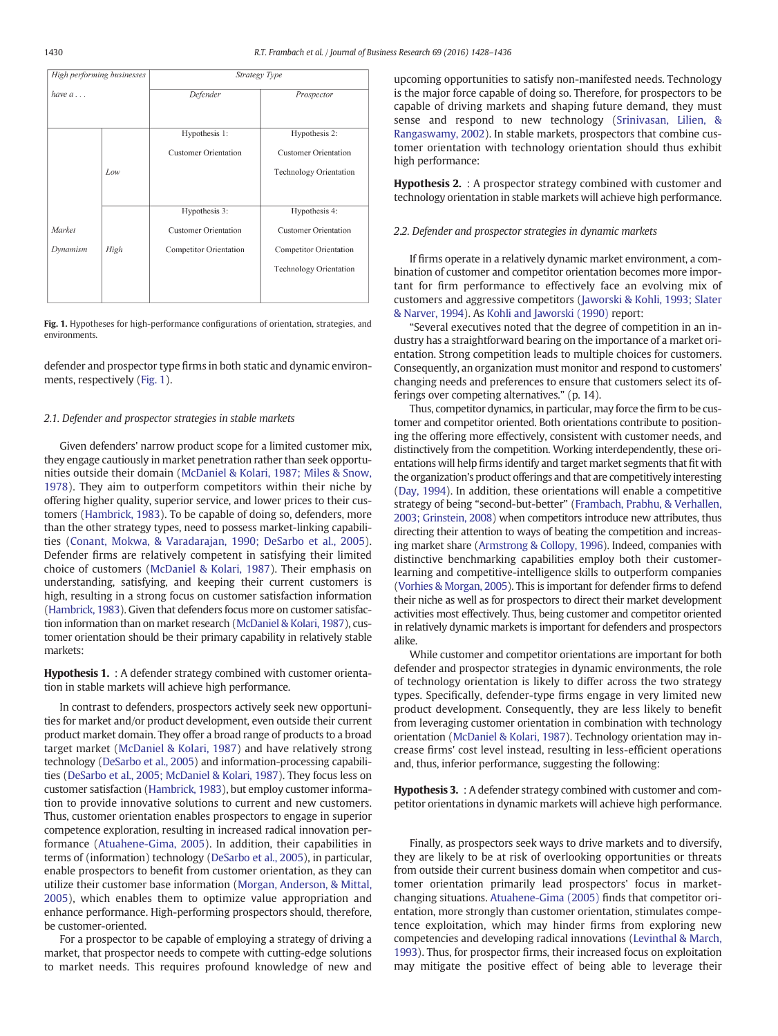<span id="page-2-0"></span>

| High performing businesses |      | Strategy Type                                |                                              |  |  |
|----------------------------|------|----------------------------------------------|----------------------------------------------|--|--|
| have $a \dots$             |      | Defender                                     | Prospector                                   |  |  |
|                            |      | Hypothesis 1:<br><b>Customer Orientation</b> | Hypothesis 2:<br><b>Customer Orientation</b> |  |  |
|                            | Low  |                                              | <b>Technology Orientation</b>                |  |  |
|                            |      | Hypothesis 3:                                | Hypothesis 4:                                |  |  |
| Market                     |      | <b>Customer Orientation</b>                  | <b>Customer Orientation</b>                  |  |  |
| Dynamism                   | High | Competitor Orientation                       | Competitor Orientation                       |  |  |
|                            |      |                                              | Technology Orientation                       |  |  |

Fig. 1. Hypotheses for high-performance configurations of orientation, strategies, and environments.

defender and prospector type firms in both static and dynamic environments, respectively (Fig. 1).

#### 2.1. Defender and prospector strategies in stable markets

Given defenders' narrow product scope for a limited customer mix, they engage cautiously in market penetration rather than seek opportunities outside their domain ([McDaniel & Kolari, 1987; Miles & Snow,](#page-7-0) [1978](#page-7-0)). They aim to outperform competitors within their niche by offering higher quality, superior service, and lower prices to their customers ([Hambrick, 1983\)](#page-7-0). To be capable of doing so, defenders, more than the other strategy types, need to possess market-linking capabilities ([Conant, Mokwa, & Varadarajan, 1990; DeSarbo et al., 2005](#page-7-0)). Defender firms are relatively competent in satisfying their limited choice of customers [\(McDaniel & Kolari, 1987\)](#page-7-0). Their emphasis on understanding, satisfying, and keeping their current customers is high, resulting in a strong focus on customer satisfaction information [\(Hambrick, 1983\)](#page-7-0). Given that defenders focus more on customer satisfaction information than on market research [\(McDaniel & Kolari, 1987\)](#page-7-0), customer orientation should be their primary capability in relatively stable markets:

#### Hypothesis 1. : A defender strategy combined with customer orientation in stable markets will achieve high performance.

In contrast to defenders, prospectors actively seek new opportunities for market and/or product development, even outside their current product market domain. They offer a broad range of products to a broad target market ([McDaniel & Kolari, 1987](#page-7-0)) and have relatively strong technology ([DeSarbo et al., 2005](#page-7-0)) and information-processing capabilities ([DeSarbo et al., 2005; McDaniel & Kolari, 1987](#page-7-0)). They focus less on customer satisfaction ([Hambrick, 1983\)](#page-7-0), but employ customer information to provide innovative solutions to current and new customers. Thus, customer orientation enables prospectors to engage in superior competence exploration, resulting in increased radical innovation performance [\(Atuahene-Gima, 2005\)](#page-7-0). In addition, their capabilities in terms of (information) technology ([DeSarbo et al., 2005](#page-7-0)), in particular, enable prospectors to benefit from customer orientation, as they can utilize their customer base information [\(Morgan, Anderson, & Mittal,](#page-8-0) [2005](#page-8-0)), which enables them to optimize value appropriation and enhance performance. High-performing prospectors should, therefore, be customer-oriented.

For a prospector to be capable of employing a strategy of driving a market, that prospector needs to compete with cutting-edge solutions to market needs. This requires profound knowledge of new and upcoming opportunities to satisfy non-manifested needs. Technology is the major force capable of doing so. Therefore, for prospectors to be capable of driving markets and shaping future demand, they must sense and respond to new technology [\(Srinivasan, Lilien, &](#page-8-0) [Rangaswamy, 2002](#page-8-0)). In stable markets, prospectors that combine customer orientation with technology orientation should thus exhibit high performance:

Hypothesis 2. : A prospector strategy combined with customer and technology orientation in stable markets will achieve high performance.

#### 2.2. Defender and prospector strategies in dynamic markets

If firms operate in a relatively dynamic market environment, a combination of customer and competitor orientation becomes more important for firm performance to effectively face an evolving mix of customers and aggressive competitors [\(Jaworski & Kohli, 1993; Slater](#page-7-0) [& Narver, 1994](#page-7-0)). As [Kohli and Jaworski \(1990\)](#page-7-0) report:

"Several executives noted that the degree of competition in an industry has a straightforward bearing on the importance of a market orientation. Strong competition leads to multiple choices for customers. Consequently, an organization must monitor and respond to customers' changing needs and preferences to ensure that customers select its offerings over competing alternatives." (p. 14).

Thus, competitor dynamics, in particular, may force the firm to be customer and competitor oriented. Both orientations contribute to positioning the offering more effectively, consistent with customer needs, and distinctively from the competition. Working interdependently, these orientations will help firms identify and target market segments that fit with the organization's product offerings and that are competitively interesting [\(Day, 1994](#page-7-0)). In addition, these orientations will enable a competitive strategy of being "second-but-better" ([Frambach, Prabhu, & Verhallen,](#page-7-0) [2003; Grinstein, 2008\)](#page-7-0) when competitors introduce new attributes, thus directing their attention to ways of beating the competition and increasing market share ([Armstrong & Collopy, 1996\)](#page-7-0). Indeed, companies with distinctive benchmarking capabilities employ both their customerlearning and competitive-intelligence skills to outperform companies [\(Vorhies & Morgan, 2005](#page-8-0)). This is important for defender firms to defend their niche as well as for prospectors to direct their market development activities most effectively. Thus, being customer and competitor oriented in relatively dynamic markets is important for defenders and prospectors alike.

While customer and competitor orientations are important for both defender and prospector strategies in dynamic environments, the role of technology orientation is likely to differ across the two strategy types. Specifically, defender-type firms engage in very limited new product development. Consequently, they are less likely to benefit from leveraging customer orientation in combination with technology orientation ([McDaniel & Kolari, 1987](#page-7-0)). Technology orientation may increase firms' cost level instead, resulting in less-efficient operations and, thus, inferior performance, suggesting the following:

Hypothesis 3. : A defender strategy combined with customer and competitor orientations in dynamic markets will achieve high performance.

Finally, as prospectors seek ways to drive markets and to diversify, they are likely to be at risk of overlooking opportunities or threats from outside their current business domain when competitor and customer orientation primarily lead prospectors' focus in marketchanging situations. [Atuahene-Gima \(2005\)](#page-7-0) finds that competitor orientation, more strongly than customer orientation, stimulates competence exploitation, which may hinder firms from exploring new competencies and developing radical innovations [\(Levinthal & March,](#page-7-0) [1993\)](#page-7-0). Thus, for prospector firms, their increased focus on exploitation may mitigate the positive effect of being able to leverage their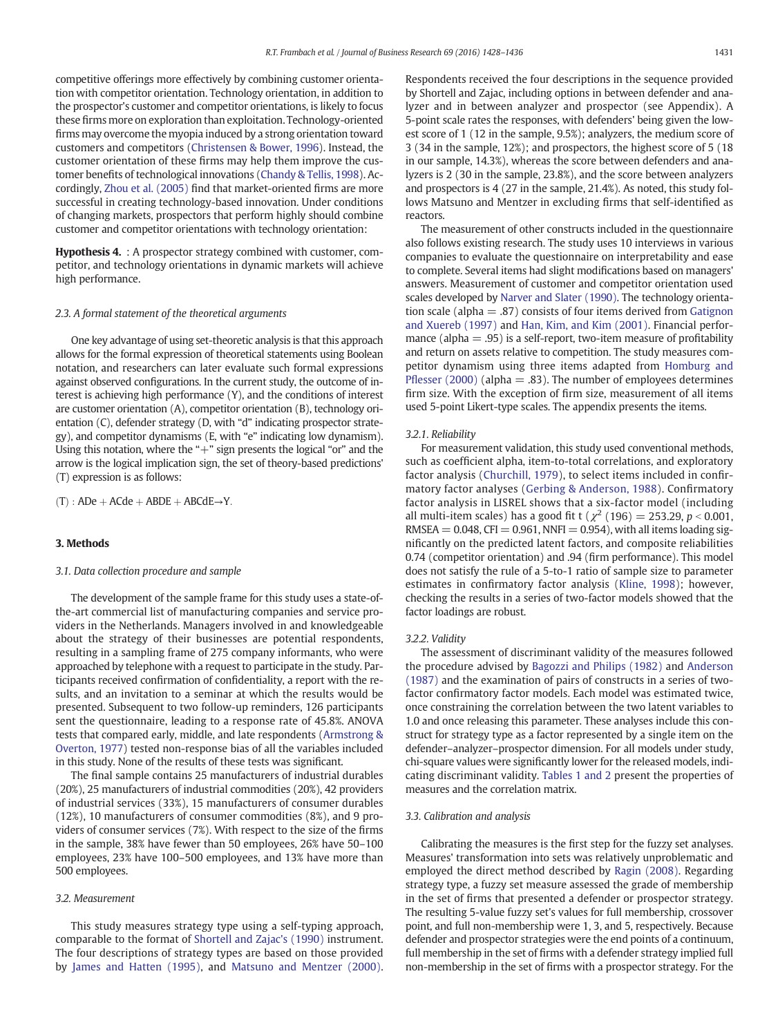<span id="page-3-0"></span>competitive offerings more effectively by combining customer orientation with competitor orientation. Technology orientation, in addition to the prospector's customer and competitor orientations, is likely to focus these firms more on exploration than exploitation. Technology-oriented firms may overcome the myopia induced by a strong orientation toward customers and competitors ([Christensen & Bower, 1996](#page-7-0)). Instead, the customer orientation of these firms may help them improve the customer benefits of technological innovations ([Chandy & Tellis, 1998\)](#page-7-0). Accordingly, [Zhou et al. \(2005\)](#page-8-0) find that market-oriented firms are more successful in creating technology-based innovation. Under conditions of changing markets, prospectors that perform highly should combine customer and competitor orientations with technology orientation:

Hypothesis 4. : A prospector strategy combined with customer, competitor, and technology orientations in dynamic markets will achieve high performance.

#### 2.3. A formal statement of the theoretical arguments

One key advantage of using set-theoretic analysis is that this approach allows for the formal expression of theoretical statements using Boolean notation, and researchers can later evaluate such formal expressions against observed configurations. In the current study, the outcome of interest is achieving high performance (Y), and the conditions of interest are customer orientation (A), competitor orientation (B), technology orientation (C), defender strategy (D, with "d" indicating prospector strategy), and competitor dynamisms (E, with "e" indicating low dynamism). Using this notation, where the "+" sign presents the logical "or" and the arrow is the logical implication sign, the set of theory-based predictions' (T) expression is as follows:

 $(T)$ : ADe + ACde + ABDE + ABCdE→Y.

#### 3. Methods

#### 3.1. Data collection procedure and sample

The development of the sample frame for this study uses a state-ofthe-art commercial list of manufacturing companies and service providers in the Netherlands. Managers involved in and knowledgeable about the strategy of their businesses are potential respondents, resulting in a sampling frame of 275 company informants, who were approached by telephone with a request to participate in the study. Participants received confirmation of confidentiality, a report with the results, and an invitation to a seminar at which the results would be presented. Subsequent to two follow-up reminders, 126 participants sent the questionnaire, leading to a response rate of 45.8%. ANOVA tests that compared early, middle, and late respondents ([Armstrong &](#page-7-0) [Overton, 1977](#page-7-0)) tested non-response bias of all the variables included in this study. None of the results of these tests was significant.

The final sample contains 25 manufacturers of industrial durables (20%), 25 manufacturers of industrial commodities (20%), 42 providers of industrial services (33%), 15 manufacturers of consumer durables (12%), 10 manufacturers of consumer commodities (8%), and 9 providers of consumer services (7%). With respect to the size of the firms in the sample, 38% have fewer than 50 employees, 26% have 50–100 employees, 23% have 100–500 employees, and 13% have more than 500 employees.

#### 3.2. Measurement

This study measures strategy type using a self-typing approach, comparable to the format of [Shortell and Zajac's \(1990\)](#page-8-0) instrument. The four descriptions of strategy types are based on those provided by [James and Hatten \(1995\),](#page-7-0) and [Matsuno and Mentzer \(2000\).](#page-7-0) Respondents received the four descriptions in the sequence provided by Shortell and Zajac, including options in between defender and analyzer and in between analyzer and prospector (see Appendix). A 5-point scale rates the responses, with defenders' being given the lowest score of 1 (12 in the sample, 9.5%); analyzers, the medium score of 3 (34 in the sample, 12%); and prospectors, the highest score of 5 (18 in our sample, 14.3%), whereas the score between defenders and analyzers is 2 (30 in the sample, 23.8%), and the score between analyzers and prospectors is 4 (27 in the sample, 21.4%). As noted, this study follows Matsuno and Mentzer in excluding firms that self-identified as reactors.

The measurement of other constructs included in the questionnaire also follows existing research. The study uses 10 interviews in various companies to evaluate the questionnaire on interpretability and ease to complete. Several items had slight modifications based on managers' answers. Measurement of customer and competitor orientation used scales developed by [Narver and Slater \(1990\)](#page-8-0). The technology orientation scale (alpha  $=$  .87) consists of four items derived from [Gatignon](#page-7-0) [and Xuereb \(1997\)](#page-7-0) and [Han, Kim, and Kim \(2001\)](#page-7-0). Financial performance (alpha  $= .95$ ) is a self-report, two-item measure of profitability and return on assets relative to competition. The study measures competitor dynamism using three items adapted from [Homburg and](#page-7-0) Pfl[esser \(2000\)](#page-7-0) (alpha  $=$  .83). The number of employees determines firm size. With the exception of firm size, measurement of all items used 5-point Likert-type scales. The appendix presents the items.

#### 3.2.1. Reliability

For measurement validation, this study used conventional methods, such as coefficient alpha, item-to-total correlations, and exploratory factor analysis [\(Churchill, 1979\)](#page-7-0), to select items included in confirmatory factor analyses ([Gerbing & Anderson, 1988](#page-7-0)). Confirmatory factor analysis in LISREL shows that a six-factor model (including all multi-item scales) has a good fit t ( $\chi^2$  (196) = 253.29, p < 0.001,  $RMSEA = 0.048$ , CFI = 0.961, NNFI = 0.954), with all items loading significantly on the predicted latent factors, and composite reliabilities 0.74 (competitor orientation) and .94 (firm performance). This model does not satisfy the rule of a 5-to-1 ratio of sample size to parameter estimates in confirmatory factor analysis [\(Kline, 1998](#page-7-0)); however, checking the results in a series of two-factor models showed that the factor loadings are robust.

#### 3.2.2. Validity

The assessment of discriminant validity of the measures followed the procedure advised by [Bagozzi and Philips \(1982\)](#page-7-0) and [Anderson](#page-7-0) [\(1987\)](#page-7-0) and the examination of pairs of constructs in a series of twofactor confirmatory factor models. Each model was estimated twice, once constraining the correlation between the two latent variables to 1.0 and once releasing this parameter. These analyses include this construct for strategy type as a factor represented by a single item on the defender–analyzer–prospector dimension. For all models under study, chi-square values were significantly lower for the released models, indicating discriminant validity. [Tables 1 and 2](#page-4-0) present the properties of measures and the correlation matrix.

#### 3.3. Calibration and analysis

Calibrating the measures is the first step for the fuzzy set analyses. Measures' transformation into sets was relatively unproblematic and employed the direct method described by [Ragin \(2008\).](#page-8-0) Regarding strategy type, a fuzzy set measure assessed the grade of membership in the set of firms that presented a defender or prospector strategy. The resulting 5-value fuzzy set's values for full membership, crossover point, and full non-membership were 1, 3, and 5, respectively. Because defender and prospector strategies were the end points of a continuum, full membership in the set of firms with a defender strategy implied full non-membership in the set of firms with a prospector strategy. For the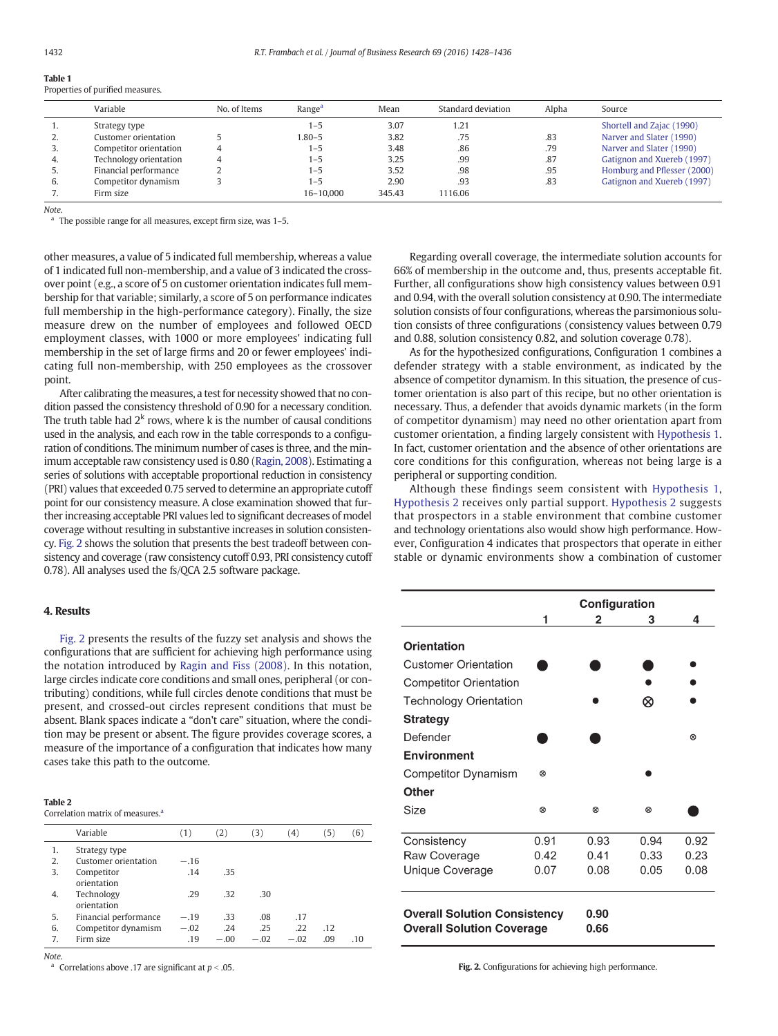<span id="page-4-0"></span>

| IMPIL I |  |                                  |
|---------|--|----------------------------------|
|         |  | Properties of purified measures. |

|          | Variable               | No. of Items | Range <sup>a</sup> | Mean   | Standard deviation | Alpha | Source                      |
|----------|------------------------|--------------|--------------------|--------|--------------------|-------|-----------------------------|
|          | Strategy type          |              | $1 - 5$            | 3.07   | 1.21               |       | Shortell and Zajac (1990)   |
| <u>.</u> | Customer orientation   |              | 1.80–5             | 3.82   | .75                | .83   | Narver and Slater (1990)    |
|          | Competitor orientation |              | $1 - 5$            | 3.48   | .86                | .79   | Narver and Slater (1990)    |
| 4.       | Technology orientation |              | $1 - 5$            | 3.25   | .99                | .87   | Gatignon and Xuereb (1997)  |
| J.       | Financial performance  |              | $1 - 5$            | 3.52   | .98                | .95   | Homburg and Pflesser (2000) |
| 6.       | Competitor dynamism    |              | $1 - 5$            | 2.90   | .93                | .83   | Gatignon and Xuereb (1997)  |
|          | Firm size              |              | 16-10.000          | 345.43 | 1116.06            |       |                             |

Note.

 $a$  The possible range for all measures, except firm size, was 1-5.

other measures, a value of 5 indicated full membership, whereas a value of 1 indicated full non-membership, and a value of 3 indicated the crossover point (e.g., a score of 5 on customer orientation indicates full membership for that variable; similarly, a score of 5 on performance indicates full membership in the high-performance category). Finally, the size measure drew on the number of employees and followed OECD employment classes, with 1000 or more employees' indicating full membership in the set of large firms and 20 or fewer employees' indicating full non-membership, with 250 employees as the crossover point.

After calibrating the measures, a test for necessity showed that no condition passed the consistency threshold of 0.90 for a necessary condition. The truth table had  $2<sup>k</sup>$  rows, where k is the number of causal conditions used in the analysis, and each row in the table corresponds to a configuration of conditions. The minimum number of cases is three, and the minimum acceptable raw consistency used is 0.80 ([Ragin, 2008\)](#page-8-0). Estimating a series of solutions with acceptable proportional reduction in consistency (PRI) values that exceeded 0.75 served to determine an appropriate cutoff point for our consistency measure. A close examination showed that further increasing acceptable PRI values led to significant decreases of model coverage without resulting in substantive increases in solution consistency. Fig. 2 shows the solution that presents the best tradeoff between consistency and coverage (raw consistency cutoff 0.93, PRI consistency cutoff 0.78). All analyses used the fs/QCA 2.5 software package.

### 4. Results

Fig. 2 presents the results of the fuzzy set analysis and shows the configurations that are sufficient for achieving high performance using the notation introduced by [Ragin and Fiss \(2008\)](#page-8-0). In this notation, large circles indicate core conditions and small ones, peripheral (or contributing) conditions, while full circles denote conditions that must be present, and crossed-out circles represent conditions that must be absent. Blank spaces indicate a "don't care" situation, where the condition may be present or absent. The figure provides coverage scores, a measure of the importance of a configuration that indicates how many cases take this path to the outcome.

#### Table 2

Correlation matrix of measures.

|    | Variable                  | (1)    | (2)    | (3)    | (4)    | (5) | (6) |
|----|---------------------------|--------|--------|--------|--------|-----|-----|
| 1. | Strategy type             |        |        |        |        |     |     |
| 2. | Customer orientation      | $-.16$ |        |        |        |     |     |
| 3. | Competitor<br>orientation | .14    | .35    |        |        |     |     |
| 4. | Technology<br>orientation | .29    | .32    | .30    |        |     |     |
| 5. | Financial performance     | $-.19$ | .33    | .08    | .17    |     |     |
| 6. | Competitor dynamism       | $-.02$ | .24    | .25    | .22    | .12 |     |
| 7. | Firm size                 | .19    | $-.00$ | $-.02$ | $-.02$ | .09 | .10 |

Note.<br>a Correlations above .17 are significant at  $p < .05$ .

Regarding overall coverage, the intermediate solution accounts for 66% of membership in the outcome and, thus, presents acceptable fit. Further, all configurations show high consistency values between 0.91 and 0.94, with the overall solution consistency at 0.90. The intermediate solution consists of four configurations, whereas the parsimonious solution consists of three configurations (consistency values between 0.79 and 0.88, solution consistency 0.82, and solution coverage 0.78).

As for the hypothesized configurations, Configuration 1 combines a defender strategy with a stable environment, as indicated by the absence of competitor dynamism. In this situation, the presence of customer orientation is also part of this recipe, but no other orientation is necessary. Thus, a defender that avoids dynamic markets (in the form of competitor dynamism) may need no other orientation apart from customer orientation, a finding largely consistent with [Hypothesis 1.](#page-2-0) In fact, customer orientation and the absence of other orientations are core conditions for this configuration, whereas not being large is a peripheral or supporting condition.

Although these findings seem consistent with [Hypothesis 1,](#page-2-0) [Hypothesis 2](#page-2-0) receives only partial support. [Hypothesis 2](#page-2-0) suggests that prospectors in a stable environment that combine customer and technology orientations also would show high performance. However, Configuration 4 indicates that prospectors that operate in either stable or dynamic environments show a combination of customer

|                                                                         | Configuration |              |      |      |
|-------------------------------------------------------------------------|---------------|--------------|------|------|
|                                                                         | 1             | 2            | 3    | 4    |
| Orientation                                                             |               |              |      |      |
| Customer Orientation                                                    |               |              |      |      |
| <b>Competitor Orientation</b>                                           |               |              |      |      |
| <b>Technology Orientation</b>                                           |               |              | ∞    |      |
| Strategy                                                                |               |              |      |      |
| Defender                                                                |               |              |      | ⊗    |
| Environment                                                             |               |              |      |      |
| Competitor Dynamism                                                     | ⊗             |              |      |      |
| Other                                                                   |               |              |      |      |
| Size                                                                    | 0             | ⊗            | ⊗    |      |
|                                                                         |               |              |      |      |
| Consistency                                                             | 0.91          | 0.93         | 0.94 | 0.92 |
| Raw Coverage                                                            | 0.42          | 0 41         | 0.33 | 0.23 |
| Unique Coverage                                                         | 0.07          | 0.08         | 0.05 | 0.08 |
|                                                                         |               |              |      |      |
| <b>Overall Solution Consistency</b><br><b>Overall Solution Coverage</b> |               | 0.90<br>0.66 |      |      |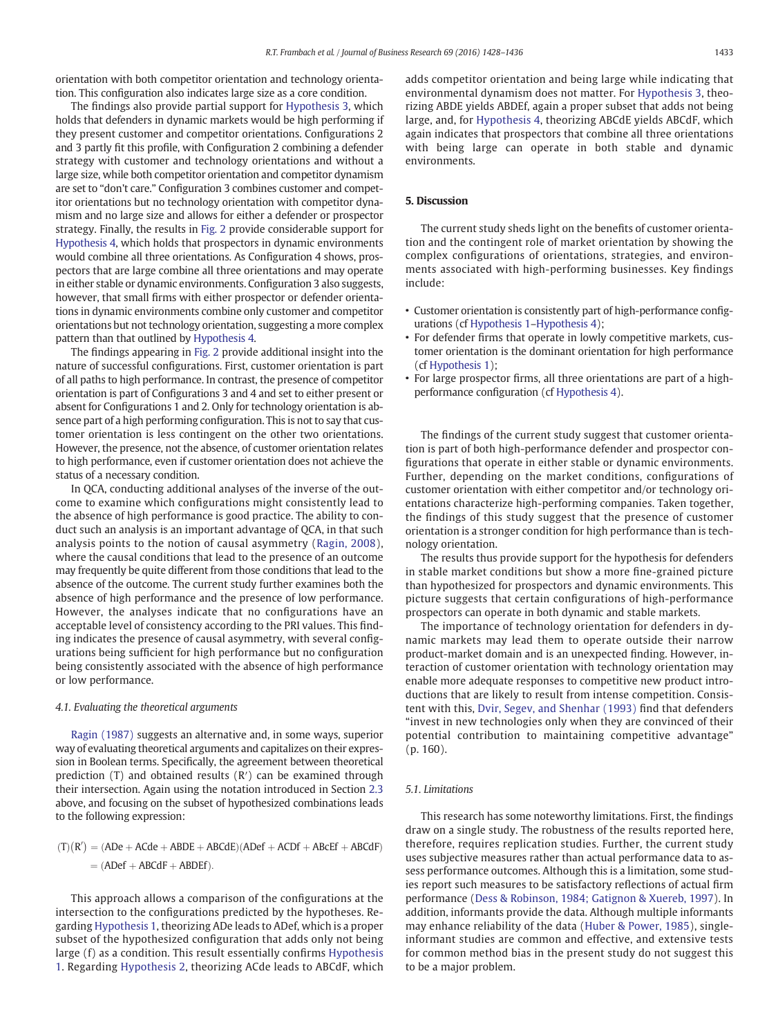orientation with both competitor orientation and technology orientation. This configuration also indicates large size as a core condition.

The findings also provide partial support for [Hypothesis 3,](#page-2-0) which holds that defenders in dynamic markets would be high performing if they present customer and competitor orientations. Configurations 2 and 3 partly fit this profile, with Configuration 2 combining a defender strategy with customer and technology orientations and without a large size, while both competitor orientation and competitor dynamism are set to "don't care." Configuration 3 combines customer and competitor orientations but no technology orientation with competitor dynamism and no large size and allows for either a defender or prospector strategy. Finally, the results in [Fig. 2](#page-4-0) provide considerable support for [Hypothesis 4,](#page-3-0) which holds that prospectors in dynamic environments would combine all three orientations. As Configuration 4 shows, prospectors that are large combine all three orientations and may operate in either stable or dynamic environments. Configuration 3 also suggests, however, that small firms with either prospector or defender orientations in dynamic environments combine only customer and competitor orientations but not technology orientation, suggesting a more complex pattern than that outlined by [Hypothesis 4](#page-3-0).

The findings appearing in [Fig. 2](#page-4-0) provide additional insight into the nature of successful configurations. First, customer orientation is part of all paths to high performance. In contrast, the presence of competitor orientation is part of Configurations 3 and 4 and set to either present or absent for Configurations 1 and 2. Only for technology orientation is absence part of a high performing configuration. This is not to say that customer orientation is less contingent on the other two orientations. However, the presence, not the absence, of customer orientation relates to high performance, even if customer orientation does not achieve the status of a necessary condition.

In QCA, conducting additional analyses of the inverse of the outcome to examine which configurations might consistently lead to the absence of high performance is good practice. The ability to conduct such an analysis is an important advantage of QCA, in that such analysis points to the notion of causal asymmetry [\(Ragin, 2008](#page-8-0)), where the causal conditions that lead to the presence of an outcome may frequently be quite different from those conditions that lead to the absence of the outcome. The current study further examines both the absence of high performance and the presence of low performance. However, the analyses indicate that no configurations have an acceptable level of consistency according to the PRI values. This finding indicates the presence of causal asymmetry, with several configurations being sufficient for high performance but no configuration being consistently associated with the absence of high performance or low performance.

#### 4.1. Evaluating the theoretical arguments

[Ragin \(1987\)](#page-8-0) suggests an alternative and, in some ways, superior way of evaluating theoretical arguments and capitalizes on their expression in Boolean terms. Specifically, the agreement between theoretical prediction (T) and obtained results (R′) can be examined through their intersection. Again using the notation introduced in Section [2.3](#page-3-0) above, and focusing on the subset of hypothesized combinations leads to the following expression:

$$
(T)(R') = (ADE + ACde + ABDE + ABCdE)(ADEf + ACDf + ABcEf + ABCdF)
$$

$$
= (ADEf + ABCdF + ABDEf).
$$

This approach allows a comparison of the configurations at the intersection to the configurations predicted by the hypotheses. Regarding [Hypothesis 1,](#page-2-0) theorizing ADe leads to ADef, which is a proper subset of the hypothesized configuration that adds only not being large (f) as a condition. This result essentially confirms [Hypothesis](#page-2-0) [1](#page-2-0). Regarding [Hypothesis 2,](#page-2-0) theorizing ACde leads to ABCdF, which adds competitor orientation and being large while indicating that environmental dynamism does not matter. For [Hypothesis 3](#page-2-0), theorizing ABDE yields ABDEf, again a proper subset that adds not being large, and, for [Hypothesis 4,](#page-3-0) theorizing ABCdE yields ABCdF, which again indicates that prospectors that combine all three orientations with being large can operate in both stable and dynamic environments.

### 5. Discussion

The current study sheds light on the benefits of customer orientation and the contingent role of market orientation by showing the complex configurations of orientations, strategies, and environments associated with high-performing businesses. Key findings include:

- Customer orientation is consistently part of high-performance configurations (cf [Hypothesis 1](#page-2-0)–[Hypothesis 4\)](#page-3-0);
- For defender firms that operate in lowly competitive markets, customer orientation is the dominant orientation for high performance (cf [Hypothesis 1](#page-2-0));
- For large prospector firms, all three orientations are part of a highperformance configuration (cf [Hypothesis 4](#page-3-0)).

The findings of the current study suggest that customer orientation is part of both high-performance defender and prospector configurations that operate in either stable or dynamic environments. Further, depending on the market conditions, configurations of customer orientation with either competitor and/or technology orientations characterize high-performing companies. Taken together, the findings of this study suggest that the presence of customer orientation is a stronger condition for high performance than is technology orientation.

The results thus provide support for the hypothesis for defenders in stable market conditions but show a more fine-grained picture than hypothesized for prospectors and dynamic environments. This picture suggests that certain configurations of high-performance prospectors can operate in both dynamic and stable markets.

The importance of technology orientation for defenders in dynamic markets may lead them to operate outside their narrow product-market domain and is an unexpected finding. However, interaction of customer orientation with technology orientation may enable more adequate responses to competitive new product introductions that are likely to result from intense competition. Consistent with this, [Dvir, Segev, and Shenhar \(1993\)](#page-7-0) find that defenders "invest in new technologies only when they are convinced of their potential contribution to maintaining competitive advantage" (p. 160).

#### 5.1. Limitations

This research has some noteworthy limitations. First, the findings draw on a single study. The robustness of the results reported here, therefore, requires replication studies. Further, the current study uses subjective measures rather than actual performance data to assess performance outcomes. Although this is a limitation, some studies report such measures to be satisfactory reflections of actual firm performance ([Dess & Robinson, 1984; Gatignon & Xuereb, 1997\)](#page-7-0). In addition, informants provide the data. Although multiple informants may enhance reliability of the data ([Huber & Power, 1985](#page-7-0)), singleinformant studies are common and effective, and extensive tests for common method bias in the present study do not suggest this to be a major problem.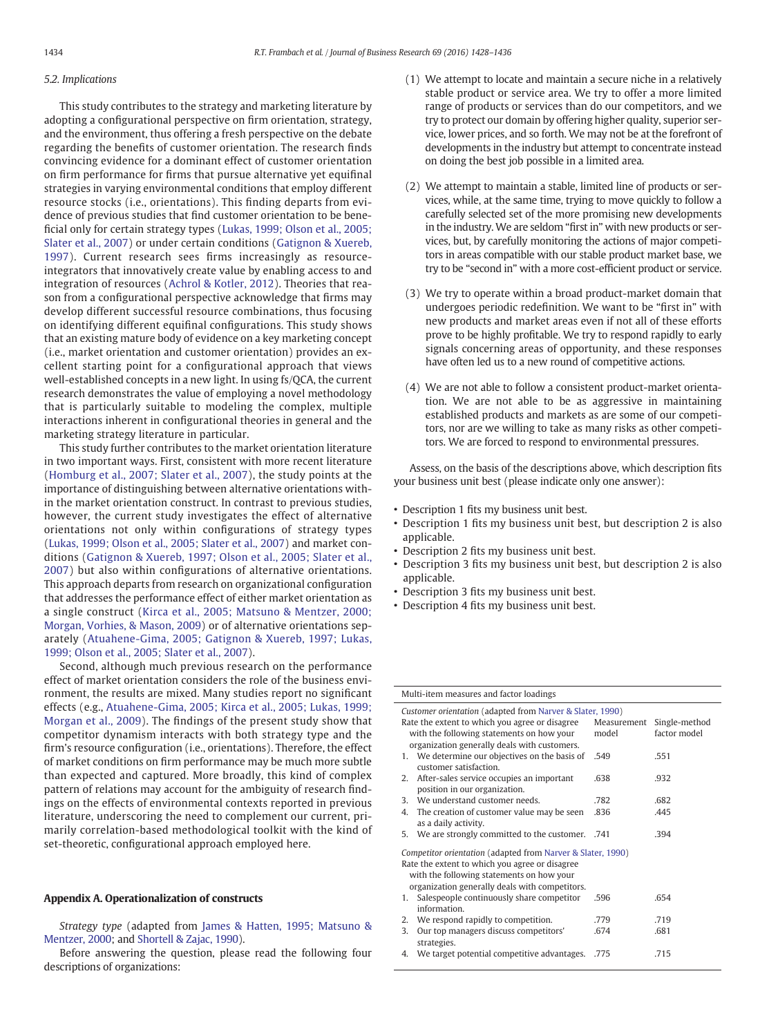#### 5.2. Implications

This study contributes to the strategy and marketing literature by adopting a configurational perspective on firm orientation, strategy, and the environment, thus offering a fresh perspective on the debate regarding the benefits of customer orientation. The research finds convincing evidence for a dominant effect of customer orientation on firm performance for firms that pursue alternative yet equifinal strategies in varying environmental conditions that employ different resource stocks (i.e., orientations). This finding departs from evidence of previous studies that find customer orientation to be beneficial only for certain strategy types [\(Lukas, 1999; Olson et al., 2005;](#page-7-0) [Slater et al., 2007](#page-7-0)) or under certain conditions ([Gatignon & Xuereb,](#page-7-0) [1997\)](#page-7-0). Current research sees firms increasingly as resourceintegrators that innovatively create value by enabling access to and integration of resources [\(Achrol & Kotler, 2012\)](#page-7-0). Theories that reason from a configurational perspective acknowledge that firms may develop different successful resource combinations, thus focusing on identifying different equifinal configurations. This study shows that an existing mature body of evidence on a key marketing concept (i.e., market orientation and customer orientation) provides an excellent starting point for a configurational approach that views well-established concepts in a new light. In using fs/QCA, the current research demonstrates the value of employing a novel methodology that is particularly suitable to modeling the complex, multiple interactions inherent in configurational theories in general and the marketing strategy literature in particular.

This study further contributes to the market orientation literature in two important ways. First, consistent with more recent literature ([Homburg et al., 2007; Slater et al., 2007\)](#page-7-0), the study points at the importance of distinguishing between alternative orientations within the market orientation construct. In contrast to previous studies, however, the current study investigates the effect of alternative orientations not only within configurations of strategy types [\(Lukas, 1999; Olson et al., 2005; Slater et al., 2007](#page-7-0)) and market conditions [\(Gatignon & Xuereb, 1997; Olson et al., 2005; Slater et al.,](#page-7-0) [2007\)](#page-7-0) but also within configurations of alternative orientations. This approach departs from research on organizational configuration that addresses the performance effect of either market orientation as a single construct [\(Kirca et al., 2005; Matsuno & Mentzer, 2000;](#page-7-0) [Morgan, Vorhies, & Mason, 2009](#page-7-0)) or of alternative orientations separately ([Atuahene-Gima, 2005; Gatignon & Xuereb, 1997; Lukas,](#page-7-0) [1999; Olson et al., 2005; Slater et al., 2007\)](#page-7-0).

Second, although much previous research on the performance effect of market orientation considers the role of the business environment, the results are mixed. Many studies report no significant effects (e.g., [Atuahene-Gima, 2005; Kirca et al., 2005; Lukas, 1999;](#page-7-0) [Morgan et al., 2009](#page-7-0)). The findings of the present study show that competitor dynamism interacts with both strategy type and the firm's resource configuration (i.e., orientations). Therefore, the effect of market conditions on firm performance may be much more subtle than expected and captured. More broadly, this kind of complex pattern of relations may account for the ambiguity of research findings on the effects of environmental contexts reported in previous literature, underscoring the need to complement our current, primarily correlation-based methodological toolkit with the kind of set-theoretic, configurational approach employed here.

#### Appendix A. Operationalization of constructs

Strategy type (adapted from [James & Hatten, 1995; Matsuno &](#page-7-0) [Mentzer, 2000](#page-7-0); and [Shortell & Zajac, 1990](#page-8-0)).

Before answering the question, please read the following four descriptions of organizations:

- (1) We attempt to locate and maintain a secure niche in a relatively stable product or service area. We try to offer a more limited range of products or services than do our competitors, and we try to protect our domain by offering higher quality, superior service, lower prices, and so forth. We may not be at the forefront of developments in the industry but attempt to concentrate instead on doing the best job possible in a limited area.
- (2) We attempt to maintain a stable, limited line of products or services, while, at the same time, trying to move quickly to follow a carefully selected set of the more promising new developments in the industry. We are seldom "first in" with new products or services, but, by carefully monitoring the actions of major competitors in areas compatible with our stable product market base, we try to be "second in" with a more cost-efficient product or service.
- (3) We try to operate within a broad product-market domain that undergoes periodic redefinition. We want to be "first in" with new products and market areas even if not all of these efforts prove to be highly profitable. We try to respond rapidly to early signals concerning areas of opportunity, and these responses have often led us to a new round of competitive actions.
- (4) We are not able to follow a consistent product-market orientation. We are not able to be as aggressive in maintaining established products and markets as are some of our competitors, nor are we willing to take as many risks as other competitors. We are forced to respond to environmental pressures.

Assess, on the basis of the descriptions above, which description fits your business unit best (please indicate only one answer):

- Description 1 fits my business unit best.
- Description 1 fits my business unit best, but description 2 is also applicable.
- Description 2 fits my business unit best.
- Description 3 fits my business unit best, but description 2 is also applicable.
- Description 3 fits my business unit best.
- Description 4 fits my business unit best.

| Customer orientation (adapted from Narver & Slater, 1990)<br>Rate the extent to which you agree or disagree<br>Measurement<br>Single-method<br>with the following statements on how your<br>factor model<br>model<br>organization generally deals with customers.<br>1. We determine our objectives on the basis of<br>.549<br>.551<br>customer satisfaction.<br>After-sales service occupies an important<br>.638<br>.932<br>2.<br>position in our organization.<br>We understand customer needs.<br>.782<br>.682<br>3<br>The creation of customer value may be seen<br>.836<br>4.<br>.445<br>as a daily activity.<br>We are strongly committed to the customer.<br>.394<br>5.<br>.741<br>Competitor orientation (adapted from Narver & Slater, 1990)<br>Rate the extent to which you agree or disagree<br>with the following statements on how your<br>organization generally deals with competitors.<br>Salespeople continuously share competitor<br>.654<br>.596<br>1.<br>information.<br>We respond rapidly to competition.<br>.779<br>.719<br>2.<br>Our top managers discuss competitors'<br>3.<br>.674<br>.681<br>strategies. | Multi-item measures and factor loadings           |      |      |  |  |  |  |
|--------------------------------------------------------------------------------------------------------------------------------------------------------------------------------------------------------------------------------------------------------------------------------------------------------------------------------------------------------------------------------------------------------------------------------------------------------------------------------------------------------------------------------------------------------------------------------------------------------------------------------------------------------------------------------------------------------------------------------------------------------------------------------------------------------------------------------------------------------------------------------------------------------------------------------------------------------------------------------------------------------------------------------------------------------------------------------------------------------------------------------------|---------------------------------------------------|------|------|--|--|--|--|
|                                                                                                                                                                                                                                                                                                                                                                                                                                                                                                                                                                                                                                                                                                                                                                                                                                                                                                                                                                                                                                                                                                                                      |                                                   |      |      |  |  |  |  |
|                                                                                                                                                                                                                                                                                                                                                                                                                                                                                                                                                                                                                                                                                                                                                                                                                                                                                                                                                                                                                                                                                                                                      |                                                   |      |      |  |  |  |  |
|                                                                                                                                                                                                                                                                                                                                                                                                                                                                                                                                                                                                                                                                                                                                                                                                                                                                                                                                                                                                                                                                                                                                      |                                                   |      |      |  |  |  |  |
|                                                                                                                                                                                                                                                                                                                                                                                                                                                                                                                                                                                                                                                                                                                                                                                                                                                                                                                                                                                                                                                                                                                                      |                                                   |      |      |  |  |  |  |
|                                                                                                                                                                                                                                                                                                                                                                                                                                                                                                                                                                                                                                                                                                                                                                                                                                                                                                                                                                                                                                                                                                                                      |                                                   |      |      |  |  |  |  |
|                                                                                                                                                                                                                                                                                                                                                                                                                                                                                                                                                                                                                                                                                                                                                                                                                                                                                                                                                                                                                                                                                                                                      |                                                   |      |      |  |  |  |  |
|                                                                                                                                                                                                                                                                                                                                                                                                                                                                                                                                                                                                                                                                                                                                                                                                                                                                                                                                                                                                                                                                                                                                      |                                                   |      |      |  |  |  |  |
|                                                                                                                                                                                                                                                                                                                                                                                                                                                                                                                                                                                                                                                                                                                                                                                                                                                                                                                                                                                                                                                                                                                                      |                                                   |      |      |  |  |  |  |
|                                                                                                                                                                                                                                                                                                                                                                                                                                                                                                                                                                                                                                                                                                                                                                                                                                                                                                                                                                                                                                                                                                                                      |                                                   |      |      |  |  |  |  |
|                                                                                                                                                                                                                                                                                                                                                                                                                                                                                                                                                                                                                                                                                                                                                                                                                                                                                                                                                                                                                                                                                                                                      |                                                   |      |      |  |  |  |  |
|                                                                                                                                                                                                                                                                                                                                                                                                                                                                                                                                                                                                                                                                                                                                                                                                                                                                                                                                                                                                                                                                                                                                      |                                                   |      |      |  |  |  |  |
|                                                                                                                                                                                                                                                                                                                                                                                                                                                                                                                                                                                                                                                                                                                                                                                                                                                                                                                                                                                                                                                                                                                                      |                                                   |      |      |  |  |  |  |
|                                                                                                                                                                                                                                                                                                                                                                                                                                                                                                                                                                                                                                                                                                                                                                                                                                                                                                                                                                                                                                                                                                                                      |                                                   |      |      |  |  |  |  |
|                                                                                                                                                                                                                                                                                                                                                                                                                                                                                                                                                                                                                                                                                                                                                                                                                                                                                                                                                                                                                                                                                                                                      |                                                   |      |      |  |  |  |  |
|                                                                                                                                                                                                                                                                                                                                                                                                                                                                                                                                                                                                                                                                                                                                                                                                                                                                                                                                                                                                                                                                                                                                      |                                                   |      |      |  |  |  |  |
|                                                                                                                                                                                                                                                                                                                                                                                                                                                                                                                                                                                                                                                                                                                                                                                                                                                                                                                                                                                                                                                                                                                                      |                                                   |      |      |  |  |  |  |
|                                                                                                                                                                                                                                                                                                                                                                                                                                                                                                                                                                                                                                                                                                                                                                                                                                                                                                                                                                                                                                                                                                                                      |                                                   |      |      |  |  |  |  |
|                                                                                                                                                                                                                                                                                                                                                                                                                                                                                                                                                                                                                                                                                                                                                                                                                                                                                                                                                                                                                                                                                                                                      |                                                   |      |      |  |  |  |  |
|                                                                                                                                                                                                                                                                                                                                                                                                                                                                                                                                                                                                                                                                                                                                                                                                                                                                                                                                                                                                                                                                                                                                      |                                                   |      |      |  |  |  |  |
|                                                                                                                                                                                                                                                                                                                                                                                                                                                                                                                                                                                                                                                                                                                                                                                                                                                                                                                                                                                                                                                                                                                                      |                                                   |      |      |  |  |  |  |
|                                                                                                                                                                                                                                                                                                                                                                                                                                                                                                                                                                                                                                                                                                                                                                                                                                                                                                                                                                                                                                                                                                                                      | We target potential competitive advantages.<br>4. | .775 | .715 |  |  |  |  |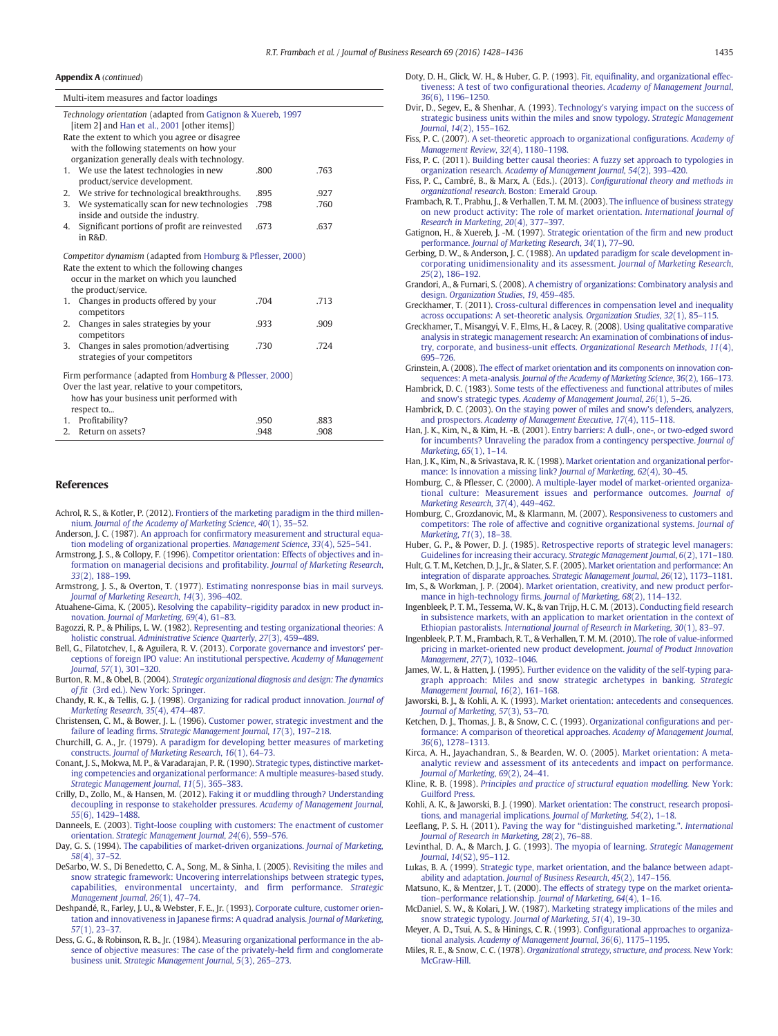#### <span id="page-7-0"></span>A**ppendix A** (continued)

|                                                                                                                                                                                    | Multi-item measures and factor loadings                                                                                                                                                                     |      |      |  |  |
|------------------------------------------------------------------------------------------------------------------------------------------------------------------------------------|-------------------------------------------------------------------------------------------------------------------------------------------------------------------------------------------------------------|------|------|--|--|
|                                                                                                                                                                                    | Technology orientation (adapted from Gatignon & Xuereb, 1997<br>[item 2] and Han et al., 2001 [other items])<br>Rate the extent to which you agree or disagree<br>with the following statements on how your |      |      |  |  |
|                                                                                                                                                                                    | organization generally deals with technology.                                                                                                                                                               |      |      |  |  |
| 1.                                                                                                                                                                                 | We use the latest technologies in new<br>product/service development.                                                                                                                                       | .800 | .763 |  |  |
| 2.                                                                                                                                                                                 | We strive for technological breakthroughs.                                                                                                                                                                  | .895 | .927 |  |  |
| 3.                                                                                                                                                                                 | We systematically scan for new technologies<br>inside and outside the industry.                                                                                                                             | .798 | .760 |  |  |
| 4.                                                                                                                                                                                 | Significant portions of profit are reinvested<br>in R&D.                                                                                                                                                    | .673 | .637 |  |  |
| Competitor dynamism (adapted from Homburg & Pflesser, 2000)<br>Rate the extent to which the following changes<br>occur in the market on which you launched<br>the product/service. |                                                                                                                                                                                                             |      |      |  |  |
| 1.                                                                                                                                                                                 | Changes in products offered by your<br>competitors                                                                                                                                                          | .704 | .713 |  |  |
| 2.                                                                                                                                                                                 | Changes in sales strategies by your<br>competitors                                                                                                                                                          | .933 | .909 |  |  |
| 3.                                                                                                                                                                                 | Changes in sales promotion/advertising<br>strategies of your competitors                                                                                                                                    | .730 | .724 |  |  |
| Firm performance (adapted from Homburg & Pflesser, 2000)<br>Over the last year, relative to your competitors,<br>how has your business unit performed with<br>respect to           |                                                                                                                                                                                                             |      |      |  |  |
| 1.                                                                                                                                                                                 | Profitability?                                                                                                                                                                                              | .950 | .883 |  |  |
| 2.                                                                                                                                                                                 | Return on assets?                                                                                                                                                                                           | .948 | .908 |  |  |

#### References

- Achrol, R. S., & Kotler, P. (2012). [Frontiers of the marketing paradigm in the third millen](http://refhub.elsevier.com/S0148-2963(15)00543-3/rf0005)nium. [Journal of the Academy of Marketing Science](http://refhub.elsevier.com/S0148-2963(15)00543-3/rf0005), 40(1), 35–52.
- Anderson, J. C. (1987). An approach for confi[rmatory measurement and structural equa](http://refhub.elsevier.com/S0148-2963(15)00543-3/rf0010)[tion modeling of organizational properties.](http://refhub.elsevier.com/S0148-2963(15)00543-3/rf0010) Management Science, 33(4), 525-541.
- Armstrong, J. S., & Collopy, F. (1996). [Competitor orientation: Effects of objectives and in](http://refhub.elsevier.com/S0148-2963(15)00543-3/rf0015)[formation on managerial decisions and pro](http://refhub.elsevier.com/S0148-2963(15)00543-3/rf0015)fitability. Journal of Marketing Research, 33[\(2\), 188](http://refhub.elsevier.com/S0148-2963(15)00543-3/rf0015)–199.
- Armstrong, J. S., & Overton, T. (1977). [Estimating nonresponse bias in mail surveys.](http://refhub.elsevier.com/S0148-2963(15)00543-3/rf0020) [Journal of Marketing Research](http://refhub.elsevier.com/S0148-2963(15)00543-3/rf0020), 14(3), 396–402.

Atuahene-Gima, K. (2005). Resolving the capability–[rigidity paradox in new product in](http://refhub.elsevier.com/S0148-2963(15)00543-3/rf0025)novation. [Journal of Marketing](http://refhub.elsevier.com/S0148-2963(15)00543-3/rf0025), 69(4), 61–83.

- Bagozzi, R. P., & Philips, L. W. (1982). [Representing and testing organizational theories: A](http://refhub.elsevier.com/S0148-2963(15)00543-3/rf0030) holistic construal. [Administrative Science Quarterly](http://refhub.elsevier.com/S0148-2963(15)00543-3/rf0030), 27(3), 459–489.
- Bell, G., Filatotchev, I., & Aguilera, R. V. (2013). [Corporate governance and investors' per](http://refhub.elsevier.com/S0148-2963(15)00543-3/rf0035)[ceptions of foreign IPO value: An institutional perspective.](http://refhub.elsevier.com/S0148-2963(15)00543-3/rf0035) Academy of Management Journal, 57[\(1\), 301](http://refhub.elsevier.com/S0148-2963(15)00543-3/rf0035)–320.
- Burton, R. M., & Obel, B. (2004). [Strategic organizational diagnosis and design: The dynamics](http://refhub.elsevier.com/S0148-2963(15)00543-3/rf0040) of fit [\(3rd ed.\). New York: Springer.](http://refhub.elsevier.com/S0148-2963(15)00543-3/rf0040)
- Chandy, R. K., & Tellis, G. J. (1998). [Organizing for radical product innovation.](http://refhub.elsevier.com/S0148-2963(15)00543-3/rf0045) Journal of [Marketing Research](http://refhub.elsevier.com/S0148-2963(15)00543-3/rf0045), 35(4), 474–487.
- Christensen, C. M., & Bower, J. L. (1996). [Customer power, strategic investment and the](http://refhub.elsevier.com/S0148-2963(15)00543-3/rf0050) failure of leading firms. [Strategic Management Journal](http://refhub.elsevier.com/S0148-2963(15)00543-3/rf0050), 17(3), 197–218.
- Churchill, G. A., Jr. (1979). [A paradigm for developing better measures of marketing](http://refhub.elsevier.com/S0148-2963(15)00543-3/rf0055) constructs. [Journal of Marketing Research](http://refhub.elsevier.com/S0148-2963(15)00543-3/rf0055), 16(1), 64–73.
- Conant, J. S., Mokwa, M. P., & Varadarajan, P. R. (1990). [Strategic types, distinctive market](http://refhub.elsevier.com/S0148-2963(15)00543-3/rf0060)[ing competencies and organizational performance: A multiple measures-based study.](http://refhub.elsevier.com/S0148-2963(15)00543-3/rf0060) [Strategic Management Journal](http://refhub.elsevier.com/S0148-2963(15)00543-3/rf0060), 11(5), 365–383.
- Crilly, D., Zollo, M., & Hansen, M. (2012). [Faking it or muddling through? Understanding](http://refhub.elsevier.com/S0148-2963(15)00543-3/rf0065) [decoupling in response to stakeholder pressures.](http://refhub.elsevier.com/S0148-2963(15)00543-3/rf0065) Academy of Management Journal, 55[\(6\), 1429](http://refhub.elsevier.com/S0148-2963(15)00543-3/rf0065)–1488.
- Danneels, E. (2003). [Tight-loose coupling with customers: The enactment of customer](http://refhub.elsevier.com/S0148-2963(15)00543-3/rf0070) orientation. [Strategic Management Journal](http://refhub.elsevier.com/S0148-2963(15)00543-3/rf0070), 24(6), 559–576.
- Day, G. S. (1994). [The capabilities of market-driven organizations.](http://refhub.elsevier.com/S0148-2963(15)00543-3/rf0075) Journal of Marketing, 58[\(4\), 37](http://refhub.elsevier.com/S0148-2963(15)00543-3/rf0075)–52.
- DeSarbo, W. S., Di Benedetto, C. A., Song, M., & Sinha, I. (2005). [Revisiting the miles and](http://refhub.elsevier.com/S0148-2963(15)00543-3/rf0080) [snow strategic framework: Uncovering interrelationships between strategic types,](http://refhub.elsevier.com/S0148-2963(15)00543-3/rf0080) [capabilities, environmental uncertainty, and](http://refhub.elsevier.com/S0148-2963(15)00543-3/rf0080) firm performance. Strategic [Management Journal](http://refhub.elsevier.com/S0148-2963(15)00543-3/rf0080), 26(1), 47–74.
- Deshpandé, R., Farley, J. U., & Webster, F. E., Jr. (1993). [Corporate culture, customer orien](http://refhub.elsevier.com/S0148-2963(15)00543-3/rf0085)[tation and innovativeness in Japanese](http://refhub.elsevier.com/S0148-2963(15)00543-3/rf0085) firms: A quadrad analysis. Journal of Marketing, 57[\(1\), 23](http://refhub.elsevier.com/S0148-2963(15)00543-3/rf0085)–37.
- Dess, G. G., & Robinson, R. B., Jr. (1984). [Measuring organizational performance in the ab](http://refhub.elsevier.com/S0148-2963(15)00543-3/rf0090)[sence of objective measures: The case of the privately-held](http://refhub.elsevier.com/S0148-2963(15)00543-3/rf0090) firm and conglomerate business unit. [Strategic Management Journal](http://refhub.elsevier.com/S0148-2963(15)00543-3/rf0090), 5(3), 265–273.
- Doty, D. H., Glick, W. H., & Huber, G. P. (1993). Fit, equifi[nality, and organizational effec](http://refhub.elsevier.com/S0148-2963(15)00543-3/rf0095)tiveness: A test of two configurational theories. [Academy of Management Journal](http://refhub.elsevier.com/S0148-2963(15)00543-3/rf0095), 36[\(6\), 1196](http://refhub.elsevier.com/S0148-2963(15)00543-3/rf0095)–1250.
- Dvir, D., Segev, E., & Shenhar, A. (1993). [Technology's varying impact on the success of](http://refhub.elsevier.com/S0148-2963(15)00543-3/rf0100) [strategic business units within the miles and snow typology.](http://refhub.elsevier.com/S0148-2963(15)00543-3/rf0100) Strategic Management Journal, 14[\(2\), 155](http://refhub.elsevier.com/S0148-2963(15)00543-3/rf0100)–162.
- Fiss, P. C. (2007). [A set-theoretic approach to organizational con](http://refhub.elsevier.com/S0148-2963(15)00543-3/rf0105)figurations. Academy of [Management Review](http://refhub.elsevier.com/S0148-2963(15)00543-3/rf0105), 32(4), 1180–1198.
- Fiss, P. C. (2011). [Building better causal theories: A fuzzy set approach to typologies in](http://refhub.elsevier.com/S0148-2963(15)00543-3/rf0110) organization research. [Academy of Management Journal](http://refhub.elsevier.com/S0148-2963(15)00543-3/rf0110), 54(2), 393–420.
- Fiss, P. C., Cambré, B., & Marx, A. (Eds.). (2013). Confi[gurational theory and methods in](http://refhub.elsevier.com/S0148-2963(15)00543-3/rf0115) organizational research[. Boston: Emerald Group.](http://refhub.elsevier.com/S0148-2963(15)00543-3/rf0115)
- Frambach, R. T., Prabhu, J., & Verhallen, T. M. M. (2003). The infl[uence of business strategy](http://refhub.elsevier.com/S0148-2963(15)00543-3/rf0120) [on new product activity: The role of market orientation.](http://refhub.elsevier.com/S0148-2963(15)00543-3/rf0120) International Journal of [Research in Marketing](http://refhub.elsevier.com/S0148-2963(15)00543-3/rf0120),  $20(4)$ , 377-397.
- Gatignon, H., & Xuereb, J. -M. (1997). [Strategic orientation of the](http://refhub.elsevier.com/S0148-2963(15)00543-3/rf0125) firm and new product performance. [Journal of Marketing Research](http://refhub.elsevier.com/S0148-2963(15)00543-3/rf0125), 34(1), 77–90.
- Gerbing, D. W., & Anderson, J. C. (1988). [An updated paradigm for scale development in](http://refhub.elsevier.com/S0148-2963(15)00543-3/rf0130)[corporating unidimensionality and its assessment.](http://refhub.elsevier.com/S0148-2963(15)00543-3/rf0130) Journal of Marketing Research, 25[\(2\), 186](http://refhub.elsevier.com/S0148-2963(15)00543-3/rf0130)–192.
- Grandori, A., & Furnari, S. (2008). [A chemistry of organizations: Combinatory analysis and](http://refhub.elsevier.com/S0148-2963(15)00543-3/rf0135) design. [Organization Studies](http://refhub.elsevier.com/S0148-2963(15)00543-3/rf0135), 19, 459–485.
- Greckhamer, T. (2011). [Cross-cultural differences in compensation level and inequality](http://refhub.elsevier.com/S0148-2963(15)00543-3/rf0140) [across occupations: A set-theoretic analysis.](http://refhub.elsevier.com/S0148-2963(15)00543-3/rf0140) Organization Studies, 32(1), 85–115.
- Greckhamer, T., Misangyi, V. F., Elms, H., & Lacey, R. (2008). [Using qualitative comparative](http://refhub.elsevier.com/S0148-2963(15)00543-3/rf0145) [analysis in strategic management research: An examination of combinations of indus](http://refhub.elsevier.com/S0148-2963(15)00543-3/rf0145)[try, corporate, and business-unit effects.](http://refhub.elsevier.com/S0148-2963(15)00543-3/rf0145) Organizational Research Methods, 11(4), 695–[726.](http://refhub.elsevier.com/S0148-2963(15)00543-3/rf0145)
- Grinstein, A. (2008). [The effect of market orientation and its components on innovation con](http://refhub.elsevier.com/S0148-2963(15)00543-3/rf0150)sequences: A meta-analysis. [Journal of the Academy of Marketing Science](http://refhub.elsevier.com/S0148-2963(15)00543-3/rf0150), 36(2), 166–173.
- Hambrick, D. C. (1983). [Some tests of the effectiveness and functional attributes of miles](http://refhub.elsevier.com/S0148-2963(15)00543-3/rf0155) and snow's strategic types. [Academy of Management Journal](http://refhub.elsevier.com/S0148-2963(15)00543-3/rf0155), 26(1), 5–26.
- Hambrick, D. C. (2003). [On the staying power of miles and snow's defenders, analyzers,](http://refhub.elsevier.com/S0148-2963(15)00543-3/rf0160) and prospectors. [Academy of Management Executive](http://refhub.elsevier.com/S0148-2963(15)00543-3/rf0160), 17(4), 115–118.
- Han, J. K., Kim, N., & Kim, H. -B. (2001). [Entry barriers: A dull-, one-, or two-edged sword](http://refhub.elsevier.com/S0148-2963(15)00543-3/rf0165) [for incumbents? Unraveling the paradox from a contingency perspective.](http://refhub.elsevier.com/S0148-2963(15)00543-3/rf0165) Journal of [Marketing](http://refhub.elsevier.com/S0148-2963(15)00543-3/rf0165), 65(1), 1–14.
- Han, J. K., Kim, N., & Srivastava, R. K. (1998). [Market orientation and organizational perfor](http://refhub.elsevier.com/S0148-2963(15)00543-3/rf0170)[mance: Is innovation a missing link?](http://refhub.elsevier.com/S0148-2963(15)00543-3/rf0170) Journal of Marketing, 62(4), 30–45.
- Homburg, C., & Pflesser, C. (2000). [A multiple-layer model of market-oriented organiza](http://refhub.elsevier.com/S0148-2963(15)00543-3/rf0175)[tional culture: Measurement issues and performance outcomes.](http://refhub.elsevier.com/S0148-2963(15)00543-3/rf0175) Journal of [Marketing Research](http://refhub.elsevier.com/S0148-2963(15)00543-3/rf0175), 37(4), 449–462.
- Homburg, C., Grozdanovic, M., & Klarmann, M. (2007). [Responsiveness to customers and](http://refhub.elsevier.com/S0148-2963(15)00543-3/rf0180) [competitors: The role of affective and cognitive organizational systems.](http://refhub.elsevier.com/S0148-2963(15)00543-3/rf0180) Journal of [Marketing](http://refhub.elsevier.com/S0148-2963(15)00543-3/rf0180), 71(3), 18–38.
- Huber, G. P., & Power, D. J. (1985). [Retrospective reports of strategic level managers:](http://refhub.elsevier.com/S0148-2963(15)00543-3/rf0185) [Guidelines for increasing their accuracy.](http://refhub.elsevier.com/S0148-2963(15)00543-3/rf0185) Strategic Management Journal, 6(2), 171–180.
- Hult, G. T. M., Ketchen, D. J., Jr., & Slater, S. F. (2005). [Market orientation and performance: An](http://refhub.elsevier.com/S0148-2963(15)00543-3/rf0190) [integration of disparate approaches.](http://refhub.elsevier.com/S0148-2963(15)00543-3/rf0190) Strategic Management Journal, 26(12), 1173–1181.
- Im, S., & Workman, J. P. (2004). [Market orientation, creativity, and new product perfor](http://refhub.elsevier.com/S0148-2963(15)00543-3/rf0195)[mance in high-technology](http://refhub.elsevier.com/S0148-2963(15)00543-3/rf0195) firms. Journal of Marketing, 68(2), 114–132.
- Ingenbleek, P. T. M., Tessema, W. K., & van Trijp, H. C. M. (2013). Conducting fi[eld research](http://refhub.elsevier.com/S0148-2963(15)00543-3/rf0200) [in subsistence markets, with an application to market orientation in the context of](http://refhub.elsevier.com/S0148-2963(15)00543-3/rf0200) Ethiopian pastoralists. [International Journal of Research in Marketing](http://refhub.elsevier.com/S0148-2963(15)00543-3/rf0200), 30(1), 83–97.
- Ingenbleek, P. T. M., Frambach, R. T., & Verhallen, T. M. M. (2010). [The role of value-informed](http://refhub.elsevier.com/S0148-2963(15)00543-3/rf0205) [pricing in market-oriented new product development.](http://refhub.elsevier.com/S0148-2963(15)00543-3/rf0205) Journal of Product Innovation [Management](http://refhub.elsevier.com/S0148-2963(15)00543-3/rf0205), 27(7), 1032–1046.
- James, W. L., & Hatten, J. (1995). [Further evidence on the validity of the self-typing para](http://refhub.elsevier.com/S0148-2963(15)00543-3/rf0210)[graph approach: Miles and snow strategic archetypes in banking.](http://refhub.elsevier.com/S0148-2963(15)00543-3/rf0210) Strategic [Management Journal](http://refhub.elsevier.com/S0148-2963(15)00543-3/rf0210), 16(2), 161–168.
- Jaworski, B. J., & Kohli, A. K. (1993). [Market orientation: antecedents and consequences.](http://refhub.elsevier.com/S0148-2963(15)00543-3/rf0215) [Journal of Marketing](http://refhub.elsevier.com/S0148-2963(15)00543-3/rf0215), 57(3), 53–70.
- Ketchen, D. J., Thomas, J. B., & Snow, C. C. (1993). [Organizational con](http://refhub.elsevier.com/S0148-2963(15)00543-3/rf0220)figurations and per[formance: A comparison of theoretical approaches.](http://refhub.elsevier.com/S0148-2963(15)00543-3/rf0220) Academy of Management Journal, 36[\(6\), 1278](http://refhub.elsevier.com/S0148-2963(15)00543-3/rf0220)–1313.
- Kirca, A. H., Jayachandran, S., & Bearden, W. O. (2005). [Market orientation: A meta](http://refhub.elsevier.com/S0148-2963(15)00543-3/rf0225)[analytic review and assessment of its antecedents and impact on performance.](http://refhub.elsevier.com/S0148-2963(15)00543-3/rf0225) [Journal of Marketing](http://refhub.elsevier.com/S0148-2963(15)00543-3/rf0225), 69(2), 24–41.
- Kline, R. B. (1998). [Principles and practice of structural equation modelling.](http://refhub.elsevier.com/S0148-2963(15)00543-3/rf0230) New York: [Guilford Press.](http://refhub.elsevier.com/S0148-2963(15)00543-3/rf0230)
- Kohli, A. K., & Jaworski, B. J. (1990). [Market orientation: The construct, research proposi](http://refhub.elsevier.com/S0148-2963(15)00543-3/rf0235)[tions, and managerial implications.](http://refhub.elsevier.com/S0148-2963(15)00543-3/rf0235) Journal of Marketing, 54(2), 1–18.
- Leeflang, P. S. H. (2011). Paving the way for "[distinguished marketing.](http://refhub.elsevier.com/S0148-2963(15)00543-3/rf0240)". International [Journal of Research in Marketing](http://refhub.elsevier.com/S0148-2963(15)00543-3/rf0240), 28(2), 76–88.
- Levinthal, D. A., & March, J. G. (1993). [The myopia of learning.](http://refhub.elsevier.com/S0148-2963(15)00543-3/rf0245) Strategic Management Journal, 14[\(S2\), 95](http://refhub.elsevier.com/S0148-2963(15)00543-3/rf0245)–112.
- Lukas, B. A. (1999). [Strategic type, market orientation, and the balance between adapt](http://refhub.elsevier.com/S0148-2963(15)00543-3/rf0250)ability and adaptation. [Journal of Business Research](http://refhub.elsevier.com/S0148-2963(15)00543-3/rf0250), 45(2), 147–156.
- Matsuno, K., & Mentzer, J. T. (2000). [The effects of strategy type on the market orienta](http://refhub.elsevier.com/S0148-2963(15)00543-3/rf0255)tion–[performance relationship.](http://refhub.elsevier.com/S0148-2963(15)00543-3/rf0255) Journal of Marketing, 64(4), 1–16.
- McDaniel, S. W., & Kolari, J. W. (1987). [Marketing strategy implications of the miles and](http://refhub.elsevier.com/S0148-2963(15)00543-3/rf0260) [snow strategic typology.](http://refhub.elsevier.com/S0148-2963(15)00543-3/rf0260) Journal of Marketing, 51(4), 19–30.
- Meyer, A. D., Tsui, A. S., & Hinings, C. R. (1993). Confi[gurational approaches to organiza](http://refhub.elsevier.com/S0148-2963(15)00543-3/rf0265)tional analysis. [Academy of Management Journal](http://refhub.elsevier.com/S0148-2963(15)00543-3/rf0265), 36(6), 1175–1195.
- Miles, R. E., & Snow, C. C. (1978). [Organizational strategy, structure, and process.](http://refhub.elsevier.com/S0148-2963(15)00543-3/rf0270) New York: [McGraw-Hill.](http://refhub.elsevier.com/S0148-2963(15)00543-3/rf0270)